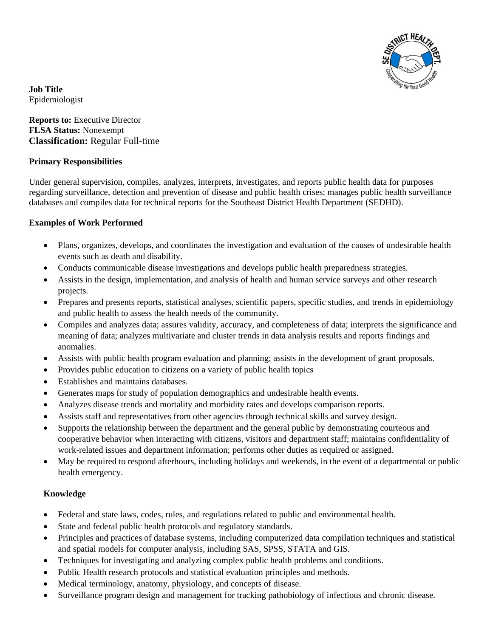

**Job Title** Epidemiologist

**Reports to:** Executive Director **FLSA Status:** Nonexempt **Classification:** Regular Full-time

## **Primary Responsibilities**

Under general supervision, compiles, analyzes, interprets, investigates, and reports public health data for purposes regarding surveillance, detection and prevention of disease and public health crises; manages public health surveillance databases and compiles data for technical reports for the Southeast District Health Department (SEDHD).

## **Examples of Work Performed**

- Plans, organizes, develops, and coordinates the investigation and evaluation of the causes of undesirable health events such as death and disability.
- Conducts communicable disease investigations and develops public health preparedness strategies.
- Assists in the design, implementation, and analysis of health and human service surveys and other research projects.
- Prepares and presents reports, statistical analyses, scientific papers, specific studies, and trends in epidemiology and public health to assess the health needs of the community.
- Compiles and analyzes data; assures validity, accuracy, and completeness of data; interprets the significance and meaning of data; analyzes multivariate and cluster trends in data analysis results and reports findings and anomalies.
- Assists with public health program evaluation and planning; assists in the development of grant proposals.
- Provides public education to citizens on a variety of public health topics
- Establishes and maintains databases.
- Generates maps for study of population demographics and undesirable health events.
- Analyzes disease trends and mortality and morbidity rates and develops comparison reports.
- Assists staff and representatives from other agencies through technical skills and survey design.
- Supports the relationship between the department and the general public by demonstrating courteous and cooperative behavior when interacting with citizens, visitors and department staff; maintains confidentiality of work-related issues and department information; performs other duties as required or assigned.
- May be required to respond afterhours, including holidays and weekends, in the event of a departmental or public health emergency.

# **Knowledge**

- Federal and state laws, codes, rules, and regulations related to public and environmental health.
- State and federal public health protocols and regulatory standards.
- Principles and practices of database systems, including computerized data compilation techniques and statistical and spatial models for computer analysis, including SAS, SPSS, STATA and GIS.
- Techniques for investigating and analyzing complex public health problems and conditions.
- Public Health research protocols and statistical evaluation principles and methods.
- Medical terminology, anatomy, physiology, and concepts of disease.
- Surveillance program design and management for tracking pathobiology of infectious and chronic disease.